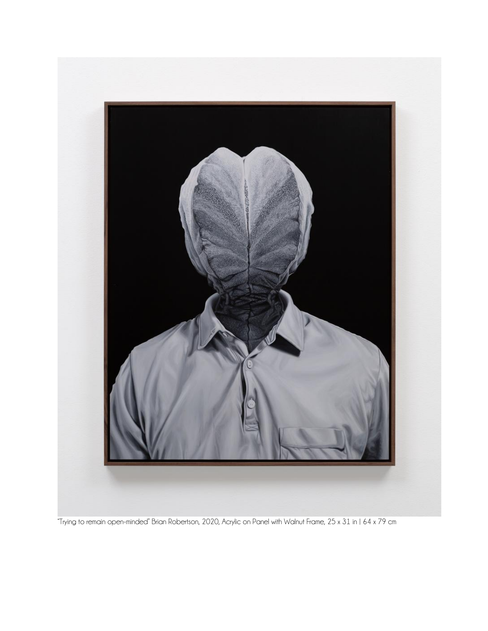

"Trying to remain open-minded" Brian Robertson, 2020, Acrylic on Panel with Walnut Frame, 25 x 31 in | 64 x 79 cm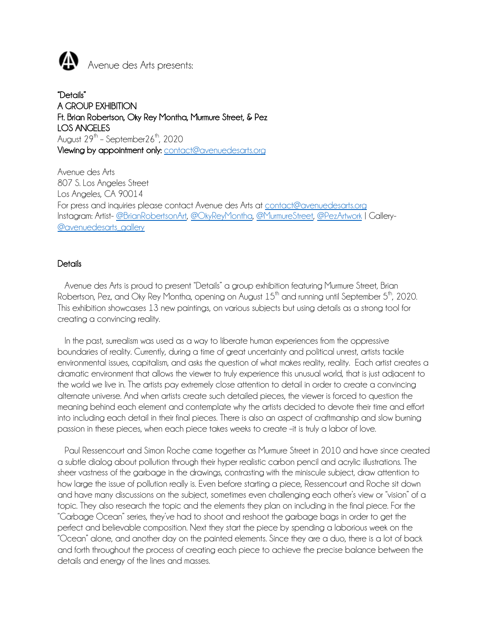

"Details" A GROUP EXHIBITION Ft. Brian Robertson, Oky Rey Montha, Murmure Street, & Pez LOS ANGELES August  $29^{th}$  – September $26^{th}$ ,  $2020$ Viewing by appointment only: contact@avenuedesarts.org

Avenue des Arts 807 S. Los Angeles Street Los Angeles, CA 90014 For press and inquiries please contact Avenue des Arts at contact@avenuedesarts.org Instagram: Artist- @BrianRobertsonArt, @OkyReyMontha, @MurmureStreet, @PezArtwork | Gallery- @avenuedesarts\_gallery

#### **Details**

 Avenue des Arts is proud to present "Details" a group exhibition featuring Murmure Street, Brian Robertson, Pez, and Oky Rey Montha, opening on August  $15<sup>th</sup>$  and running until September  $5<sup>th</sup>$ , 2020. This exhibition showcases 13 new paintings, on various subjects but using details as a strong tool for creating a convincing reality.

In the past, surrealism was used as a way to liberate human experiences from the oppressive boundaries of reality. Currently, during a time of great uncertainty and political unrest, artists tackle environmental issues, capitalism, and asks the question of what makes reality, reality. Each artist creates a dramatic environment that allows the viewer to truly experience this unusual world, that is just adjacent to the world we live in. The artists pay extremely close attention to detail in order to create a convincing alternate universe. And when artists create such detailed pieces, the viewer is forced to question the meaning behind each element and contemplate why the artists decided to devote their time and effort into including each detail in their final pieces. There is also an aspect of craftmanship and slow burning passion in these pieces, when each piece takes weeks to create –it is truly a labor of love.

 Paul Ressencourt and Simon Roche came together as Murmure Street in 2010 and have since created a subtle dialog about pollution through their hyper realistic carbon pencil and acrylic illustrations. The sheer vastness of the garbage in the drawings, contrasting with the miniscule subject, draw attention to how large the issue of pollution really is. Even before starting a piece, Ressencourt and Roche sit down and have many discussions on the subject, sometimes even challenging each other's view or "vision" of a topic. They also research the topic and the elements they plan on including in the final piece. For the "Garbage Ocean" series, they've had to shoot and reshoot the garbage bags in order to get the perfect and believable composition. Next they start the piece by spending a laborious week on the "Ocean" alone, and another day on the painted elements. Since they are a duo, there is a lot of back and forth throughout the process of creating each piece to achieve the precise balance between the details and energy of the lines and masses.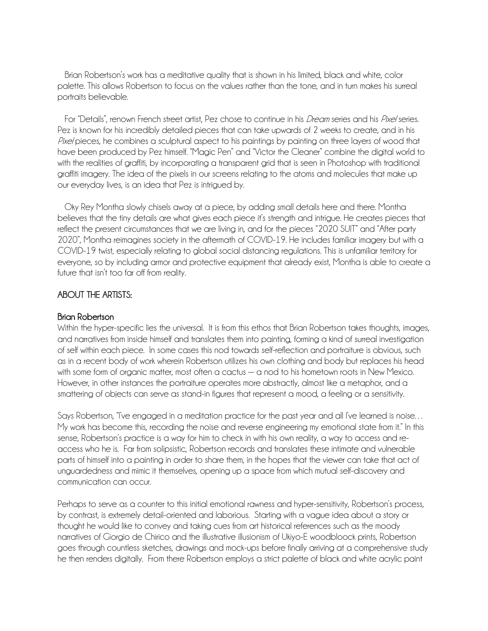Brian Robertson's work has a meditative quality that is shown in his limited, black and white, color palette. This allows Robertson to focus on the values rather than the tone, and in turn makes his surreal portraits believable.

For "Details", renown French street artist, Pez chose to continue in his *Dream* series and his *Pixel* series. Pez is known for his incredibly detailed pieces that can take upwards of 2 weeks to create, and in his Pixel pieces, he combines a sculptural aspect to his paintings by painting on three layers of wood that have been produced by Pez himself. "Magic Pen" and "Victor the Cleaner" combine the digital world to with the realities of graffiti, by incorporating a transparent grid that is seen in Photoshop with traditional graffiti imagery. The idea of the pixels in our screens relating to the atoms and molecules that make up our everyday lives, is an idea that Pez is intrigued by.

 Oky Rey Montha slowly chisels away at a piece, by adding small details here and there. Montha believes that the tiny details are what gives each piece it's strength and intrigue. He creates pieces that reflect the present circumstances that we are living in, and for the pieces "2020 SUIT" and "After party 2020", Montha reimagines society in the aftermath of COVID-19. He includes familiar imagery but with a COVID-19 twist, especially relating to global social distancing regulations. This is unfamiliar territory for everyone, so by including armor and protective equipment that already exist, Montha is able to create a future that isn't too far off from reality.

## ABOUT THE ARTISTS:

#### Brian Robertson

Within the hyper-specific lies the universal. It is from this ethos that Brian Robertson takes thoughts, images, and narratives from inside himself and translates them into painting, forming a kind of surreal investigation of self within each piece. In some cases this nod towards self-reflection and portraiture is obvious, such as in a recent body of work wherein Robertson utilizes his own clothing and body but replaces his head with some form of organic matter, most often a cactus — a nod to his hometown roots in New Mexico. However, in other instances the portraiture operates more abstractly, almost like a metaphor, and a smattering of objects can serve as stand-in figures that represent a mood, a feeling or a sensitivity.

Says Robertson, "I've engaged in a meditation practice for the past year and all I've learned is noise… My work has become this, recording the noise and reverse engineering my emotional state from it." In this sense, Robertson's practice is a way for him to check in with his own reality, a way to access and reaccess who he is. Far from solipsistic, Robertson records and translates these intimate and vulnerable parts of himself into a painting in order to share them, in the hopes that the viewer can take that act of unguardedness and mimic it themselves, opening up a space from which mutual self-discovery and communication can occur.

Perhaps to serve as a counter to this initial emotional rawness and hyper-sensitivity, Robertson's process, by contrast, is extremely detail-oriented and laborious. Starting with a vague idea about a story or thought he would like to convey and taking cues from art historical references such as the moody narratives of Giorgio de Chirico and the illustrative illusionism of Ukiyo-E woodbloock prints, Robertson goes through countless sketches, drawings and mock-ups before finally arriving at a comprehensive study he then renders digitally. From there Robertson employs a strict palette of black and white acrylic paint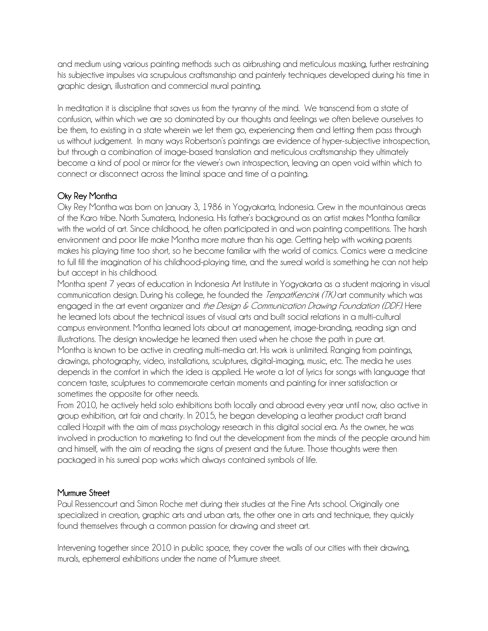and medium using various painting methods such as airbrushing and meticulous masking, further restraining his subjective impulses via scrupulous craftsmanship and painterly techniques developed during his time in graphic design, illustration and commercial mural painting.

In meditation it is discipline that saves us from the tyranny of the mind. We transcend from a state of confusion, within which we are so dominated by our thoughts and feelings we often believe ourselves to be them, to existing in a state wherein we let them go, experiencing them and letting them pass through us without judgement. In many ways Robertson's paintings are evidence of hyper-subjective introspection, but through a combination of image-based translation and meticulous craftsmanship they ultimately become a kind of pool or mirror for the viewer's own introspection, leaving an open void within which to connect or disconnect across the liminal space and time of a painting.

# Oky Rey Montha

Oky Rey Montha was born on January 3, 1986 in Yogyakarta, Indonesia. Grew in the mountainous areas of the Karo tribe. North Sumatera, Indonesia. His father's background as an artist makes Montha familiar with the world of art. Since childhood, he often participated in and won painting competitions. The harsh environment and poor life make Montha more mature than his age. Getting help with working parents makes his playing time too short, so he become familiar with the world of comics. Comics were a medicine to full fill the imagination of his childhood-playing time, and the surreal world is something he can not help but accept in his childhood.

Montha spent 7 years of education in Indonesia Art Institute in Yogyakarta as a student majoring in visual communication design. During his college, he founded the *TempatKencink (TK)* art community which was engaged in the art event organizer and the Design & Communication Drawing Foundation (DDF). Here he learned lots about the technical issues of visual arts and built social relations in a multi-cultural campus environment. Montha learned lots about art management, image-branding, reading sign and illustrations. The design knowledge he learned then used when he chose the path in pure art. Montha is known to be active in creating multi-media art. His work is unlimited. Ranging from paintings, drawings, photography, video, installations, sculptures, digital-imaging, music, etc. The media he uses depends in the comfort in which the idea is applied. He wrote a lot of lyrics for songs with language that concern taste, sculptures to commemorate certain moments and painting for inner satisfaction or sometimes the opposite for other needs.

From 2010, he actively held solo exhibitions both locally and abroad every year until now, also active in group exhibition, art fair and charity. In 2015, he began developing a leather product craft brand called Hozpit with the aim of mass psychology research in this digital social era. As the owner, he was involved in production to marketing to find out the development from the minds of the people around him and himself, with the aim of reading the signs of present and the future. Those thoughts were then packaged in his surreal pop works which always contained symbols of life.

# Murmure Street

Paul Ressencourt and Simon Roche met during their studies at the Fine Arts school. Originally one specialized in creation, graphic arts and urban arts, the other one in arts and technique, they quickly found themselves through a common passion for drawing and street art.

Intervening together since 2010 in public space, they cover the walls of our cities with their drawing, murals, ephemeral exhibitions under the name of Murmure street.